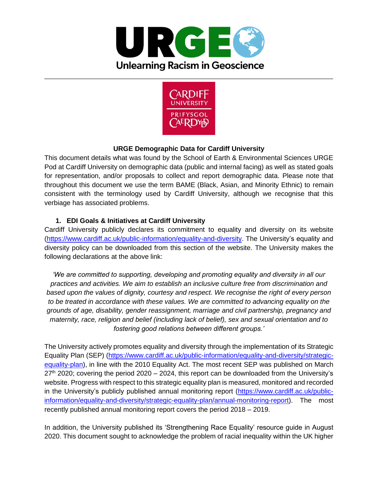



## **URGE Demographic Data for Cardiff University**

This document details what was found by the School of Earth & Environmental Sciences URGE Pod at Cardiff University on demographic data (public and internal facing) as well as stated goals for representation, and/or proposals to collect and report demographic data. Please note that throughout this document we use the term BAME (Black, Asian, and Minority Ethnic) to remain consistent with the terminology used by Cardiff University, although we recognise that this verbiage has associated problems.

## **1. EDI Goals & Initiatives at Cardiff University**

Cardiff University publicly declares its commitment to equality and diversity on its website [\(https://www.cardiff.ac.uk/public-information/equality-and-diversity.](https://www.cardiff.ac.uk/public-information/equality-and-diversity) The University's equality and diversity policy can be downloaded from this section of the website. The University makes the following declarations at the above link:

*'We are committed to supporting, developing and promoting equality and diversity in all our practices and activities. We aim to establish an inclusive culture free from discrimination and based upon the values of dignity, courtesy and respect. We recognise the right of every person to be treated in accordance with these values. We are committed to advancing equality on the grounds of age, disability, gender reassignment, marriage and civil partnership, pregnancy and maternity, race, religion and belief (including lack of belief), sex and sexual orientation and to fostering good relations between different groups.'*

The University actively promotes equality and diversity through the implementation of its Strategic Equality Plan (SEP) [\(https://www.cardiff.ac.uk/public-information/equality-and-diversity/strategic](https://www.cardiff.ac.uk/public-information/equality-and-diversity/strategic-equality-plan)[equality-plan\)](https://www.cardiff.ac.uk/public-information/equality-and-diversity/strategic-equality-plan), in line with the 2010 Equality Act. The most recent SEP was published on March  $27<sup>th</sup>$  2020; covering the period 2020 – 2024, this report can be downloaded from the University's website. Progress with respect to this strategic equality plan is measured, monitored and recorded in the University's publicly published annual monitoring report [\(https://www.cardiff.ac.uk/public](https://www.cardiff.ac.uk/public-information/equality-and-diversity/strategic-equality-plan/annual-monitoring-report)[information/equality-and-diversity/strategic-equality-plan/annual-monitoring-report\)](https://www.cardiff.ac.uk/public-information/equality-and-diversity/strategic-equality-plan/annual-monitoring-report). The most recently published annual monitoring report covers the period 2018 – 2019.

In addition, the University published its 'Strengthening Race Equality' resource guide in August 2020. This document sought to acknowledge the problem of racial inequality within the UK higher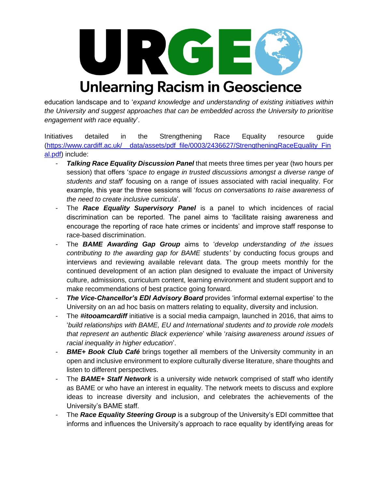

## education landscape and to '*expand knowledge and understanding of existing initiatives within the University and suggest approaches that can be embedded across the University to prioritise engagement with race equality*'.

Initiatives detailed in the Strengthening Race Equality resource guide [\(https://www.cardiff.ac.uk/\\_\\_data/assets/pdf\\_file/0003/2436627/StrengtheningRaceEquality\\_Fin](https://www.cardiff.ac.uk/__data/assets/pdf_file/0003/2436627/StrengtheningRaceEquality_Final.pdf) [al.pdf\)](https://www.cardiff.ac.uk/__data/assets/pdf_file/0003/2436627/StrengtheningRaceEquality_Final.pdf) include:

- **Talking Race Equality Discussion Panel** that meets three times per year (two hours per session) that offers '*space to engage in trusted discussions amongst a diverse range of students and staff*' focusing on a range of issues associated with racial inequality. For example, this year the three sessions will '*focus on conversations to raise awareness of the need to create inclusive curricula*'.
- The *Race Equality Supervisory Panel* is a panel to which incidences of racial discrimination can be reported. The panel aims to 'facilitate raising awareness and encourage the reporting of race hate crimes or incidents' and improve staff response to race-based discrimination.
- The *BAME Awarding Gap Group* aims to '*develop understanding of the issues contributing to the awarding gap for BAME students'* by conducting focus groups and interviews and reviewing available relevant data. The group meets monthly for the continued development of an action plan designed to evaluate the impact of University culture, admissions, curriculum content, learning environment and student support and to make recommendations of best practice going forward.
- **The Vice-Chancellor's EDI Advisory Board** provides 'informal external expertise' to the University on an ad hoc basis on matters relating to equality, diversity and inclusion.
- The **#itooamcardiff** initiative is a social media campaign, launched in 2016, that aims to '*build relationships with BAME, EU and International students and to provide role models that represent an authentic Black experience*' while '*raising awareness around issues of racial inequality in higher education*'.
- **BME+ Book Club Café** brings together all members of the University community in an open and inclusive environment to explore culturally diverse literature, share thoughts and listen to different perspectives.
- The *BAME+ Staff Network* is a university wide network comprised of staff who identify as BAME or who have an interest in equality. The network meets to discuss and explore ideas to increase diversity and inclusion, and celebrates the achievements of the University's BAME staff.
- The *Race Equality Steering Group* is a subgroup of the University's EDI committee that informs and influences the University's approach to race equality by identifying areas for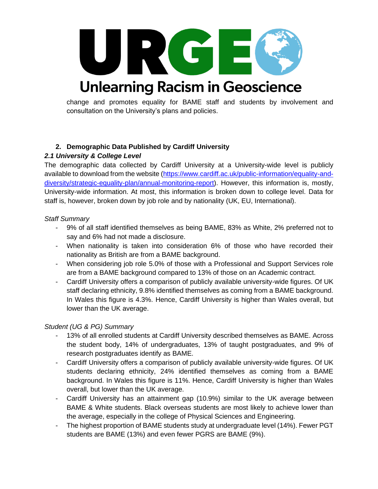

change and promotes equality for BAME staff and students by involvement and consultation on the University's plans and policies.

## **2. Demographic Data Published by Cardiff University**

## *2.1 University & College Level*

The demographic data collected by Cardiff University at a University-wide level is publicly available to download from the website [\(https://www.cardiff.ac.uk/public-information/equality-and](https://www.cardiff.ac.uk/public-information/equality-and-diversity/strategic-equality-plan/annual-monitoring-report)[diversity/strategic-equality-plan/annual-monitoring-report\)](https://www.cardiff.ac.uk/public-information/equality-and-diversity/strategic-equality-plan/annual-monitoring-report). However, this information is, mostly, University-wide information. At most, this information is broken down to college level. Data for staff is, however, broken down by job role and by nationality (UK, EU, International).

#### *Staff Summary*

- 9% of all staff identified themselves as being BAME, 83% as White, 2% preferred not to say and 6% had not made a disclosure.
- When nationality is taken into consideration 6% of those who have recorded their nationality as British are from a BAME background.
- When considering job role 5.0% of those with a Professional and Support Services role are from a BAME background compared to 13% of those on an Academic contract.
- Cardiff University offers a comparison of publicly available university-wide figures. Of UK staff declaring ethnicity, 9.8% identified themselves as coming from a BAME background. In Wales this figure is 4.3%. Hence, Cardiff University is higher than Wales overall, but lower than the UK average.

## *Student (UG & PG) Summary*

- 13% of all enrolled students at Cardiff University described themselves as BAME. Across the student body, 14% of undergraduates, 13% of taught postgraduates, and 9% of research postgraduates identify as BAME.
- Cardiff University offers a comparison of publicly available university-wide figures. Of UK students declaring ethnicity, 24% identified themselves as coming from a BAME background. In Wales this figure is 11%. Hence, Cardiff University is higher than Wales overall, but lower than the UK average.
- Cardiff University has an attainment gap (10.9%) similar to the UK average between BAME & White students. Black overseas students are most likely to achieve lower than the average, especially in the college of Physical Sciences and Engineering.
- The highest proportion of BAME students study at undergraduate level (14%). Fewer PGT students are BAME (13%) and even fewer PGRS are BAME (9%).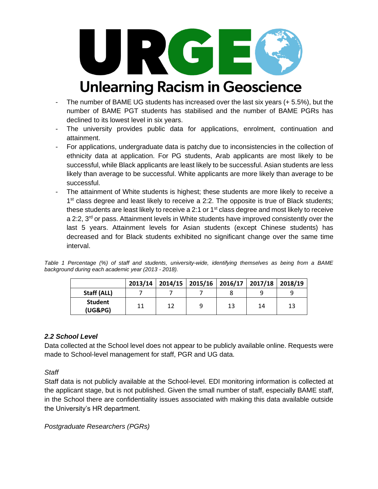

- The number of BAME UG students has increased over the last six years (+ 5.5%), but the number of BAME PGT students has stabilised and the number of BAME PGRs has declined to its lowest level in six years.
- The university provides public data for applications, enrolment, continuation and attainment.
- For applications, undergraduate data is patchy due to inconsistencies in the collection of ethnicity data at application. For PG students, Arab applicants are most likely to be successful, while Black applicants are least likely to be successful. Asian students are less likely than average to be successful. White applicants are more likely than average to be successful.
- The attainment of White students is highest; these students are more likely to receive a 1<sup>st</sup> class degree and least likely to receive a 2:2. The opposite is true of Black students; these students are least likely to receive a 2:1 or  $1<sup>st</sup>$  class degree and most likely to receive a 2:2,  $3<sup>rd</sup>$  or pass. Attainment levels in White students have improved consistently over the last 5 years. Attainment levels for Asian students (except Chinese students) has decreased and for Black students exhibited no significant change over the same time interval.

| Table 1 Percentage (%) of staff and students, university-wide, identifying themselves as being from a BAME |  |  |  |  |  |  |  |
|------------------------------------------------------------------------------------------------------------|--|--|--|--|--|--|--|
| background during each academic year (2013 - 2018).                                                        |  |  |  |  |  |  |  |

|                           |    |    |   |    | 2013/14   2014/15   2015/16   2016/17   2017/18   2018/19 |    |
|---------------------------|----|----|---|----|-----------------------------------------------------------|----|
| Staff (ALL)               |    |    |   |    |                                                           |    |
| <b>Student</b><br>(UG&PG) | 11 | 12 | q | 13 | 14                                                        | 13 |

#### *2.2 School Level*

Data collected at the School level does not appear to be publicly available online. Requests were made to School-level management for staff, PGR and UG data.

*Staff*

Staff data is not publicly available at the School-level. EDI monitoring information is collected at the applicant stage, but is not published. Given the small number of staff, especially BAME staff, in the School there are confidentiality issues associated with making this data available outside the University's HR department.

*Postgraduate Researchers (PGRs)*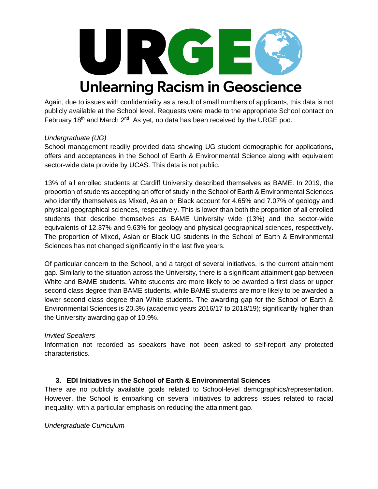

Again, due to issues with confidentiality as a result of small numbers of applicants, this data is not publicly available at the School level. Requests were made to the appropriate School contact on February 18<sup>th</sup> and March  $2^{nd}$ . As yet, no data has been received by the URGE pod.

#### *Undergraduate (UG)*

School management readily provided data showing UG student demographic for applications, offers and acceptances in the School of Earth & Environmental Science along with equivalent sector-wide data provide by UCAS. This data is not public.

13% of all enrolled students at Cardiff University described themselves as BAME. In 2019, the proportion of students accepting an offer of study in the School of Earth & Environmental Sciences who identify themselves as Mixed, Asian or Black account for 4.65% and 7.07% of geology and physical geographical sciences, respectively. This is lower than both the proportion of all enrolled students that describe themselves as BAME University wide (13%) and the sector-wide equivalents of 12.37% and 9.63% for geology and physical geographical sciences, respectively. The proportion of Mixed, Asian or Black UG students in the School of Earth & Environmental Sciences has not changed significantly in the last five years.

Of particular concern to the School, and a target of several initiatives, is the current attainment gap. Similarly to the situation across the University, there is a significant attainment gap between White and BAME students. White students are more likely to be awarded a first class or upper second class degree than BAME students, while BAME students are more likely to be awarded a lower second class degree than White students. The awarding gap for the School of Earth & Environmental Sciences is 20.3% (academic years 2016/17 to 2018/19); significantly higher than the University awarding gap of 10.9%.

## *Invited Speakers*

Information not recorded as speakers have not been asked to self-report any protected characteristics.

## **3. EDI Initiatives in the School of Earth & Environmental Sciences**

There are no publicly available goals related to School-level demographics/representation. However, the School is embarking on several initiatives to address issues related to racial inequality, with a particular emphasis on reducing the attainment gap.

#### *Undergraduate Curriculum*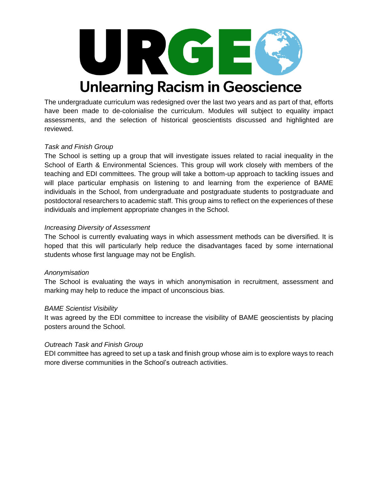

The undergraduate curriculum was redesigned over the last two years and as part of that, efforts have been made to de-colonialise the curriculum. Modules will subject to equality impact assessments, and the selection of historical geoscientists discussed and highlighted are reviewed.

#### *Task and Finish Group*

The School is setting up a group that will investigate issues related to racial inequality in the School of Earth & Environmental Sciences. This group will work closely with members of the teaching and EDI committees. The group will take a bottom-up approach to tackling issues and will place particular emphasis on listening to and learning from the experience of BAME individuals in the School, from undergraduate and postgraduate students to postgraduate and postdoctoral researchers to academic staff. This group aims to reflect on the experiences of these individuals and implement appropriate changes in the School.

#### *Increasing Diversity of Assessment*

The School is currently evaluating ways in which assessment methods can be diversified. It is hoped that this will particularly help reduce the disadvantages faced by some international students whose first language may not be English.

#### *Anonymisation*

The School is evaluating the ways in which anonymisation in recruitment, assessment and marking may help to reduce the impact of unconscious bias.

#### *BAME Scientist Visibility*

It was agreed by the EDI committee to increase the visibility of BAME geoscientists by placing posters around the School.

#### *Outreach Task and Finish Group*

EDI committee has agreed to set up a task and finish group whose aim is to explore ways to reach more diverse communities in the School's outreach activities.